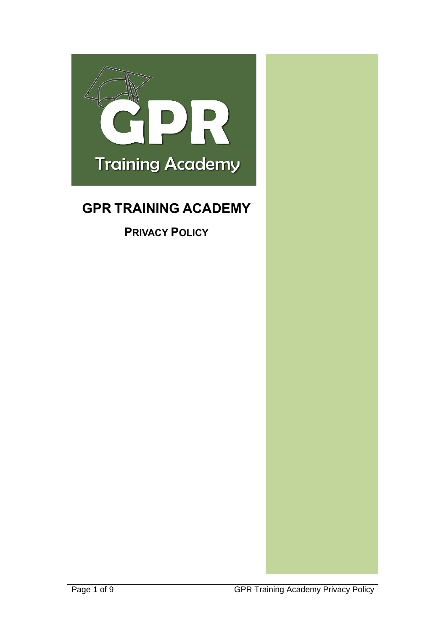

# **GPR TRAINING ACADEMY**

**PRIVACY POLICY**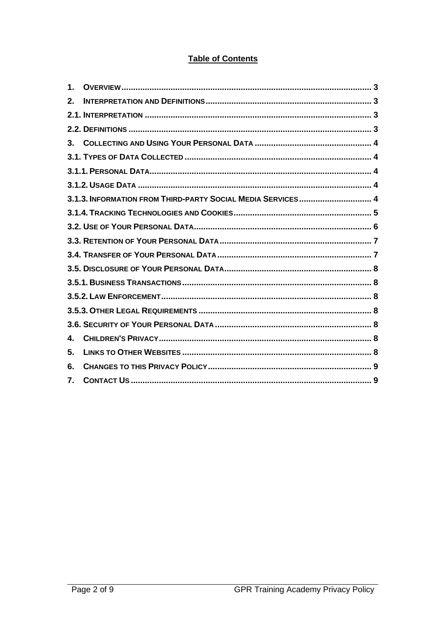# **Table of Contents**

| 1.             |                                                             |  |
|----------------|-------------------------------------------------------------|--|
| 2 <sub>1</sub> |                                                             |  |
|                |                                                             |  |
|                |                                                             |  |
| $3_{-}$        |                                                             |  |
|                |                                                             |  |
|                |                                                             |  |
|                |                                                             |  |
|                | 3.1.3. INFORMATION FROM THIRD-PARTY SOCIAL MEDIA SERVICES 4 |  |
|                |                                                             |  |
|                |                                                             |  |
|                |                                                             |  |
|                |                                                             |  |
|                |                                                             |  |
|                |                                                             |  |
|                |                                                             |  |
|                |                                                             |  |
|                |                                                             |  |
| 4.             |                                                             |  |
| 5.             |                                                             |  |
| 6.             |                                                             |  |
| 7.             |                                                             |  |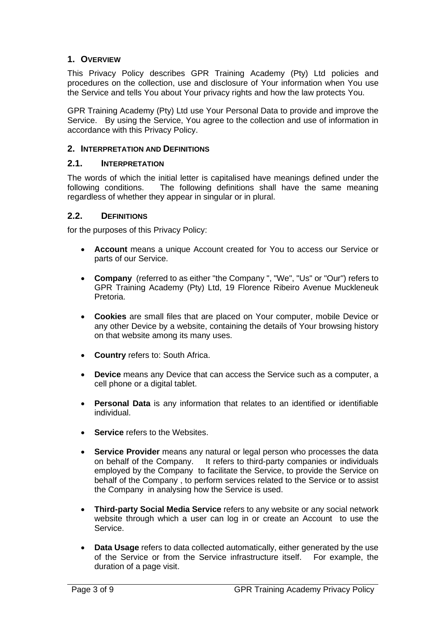## <span id="page-2-0"></span>**1. OVERVIEW**

This Privacy Policy describes GPR Training Academy (Pty) Ltd policies and procedures on the collection, use and disclosure of Your information when You use the Service and tells You about Your privacy rights and how the law protects You.

GPR Training Academy (Pty) Ltd use Your Personal Data to provide and improve the Service. By using the Service, You agree to the collection and use of information in accordance with this Privacy Policy.

#### <span id="page-2-1"></span>**2. INTERPRETATION AND DEFINITIONS**

## <span id="page-2-2"></span>**2.1. INTERPRETATION**

The words of which the initial letter is capitalised have meanings defined under the following conditions. The following definitions shall have the same meaning regardless of whether they appear in singular or in plural.

#### <span id="page-2-3"></span>**2.2. DEFINITIONS**

for the purposes of this Privacy Policy:

- **Account** means a unique Account created for You to access our Service or parts of our Service.
- **Company** (referred to as either "the Company ", "We", "Us" or "Our") refers to GPR Training Academy (Pty) Ltd, 19 Florence Ribeiro Avenue Muckleneuk Pretoria.
- **Cookies** are small files that are placed on Your computer, mobile Device or any other Device by a website, containing the details of Your browsing history on that website among its many uses.
- **Country** refers to: South Africa.
- **Device** means any Device that can access the Service such as a computer, a cell phone or a digital tablet.
- **Personal Data** is any information that relates to an identified or identifiable individual.
- **Service refers to the Websites.**
- **Service Provider** means any natural or legal person who processes the data on behalf of the Company. It refers to third-party companies or individuals employed by the Company to facilitate the Service, to provide the Service on behalf of the Company , to perform services related to the Service or to assist the Company in analysing how the Service is used.
- **Third-party Social Media Service** refers to any website or any social network website through which a user can log in or create an Account to use the Service.
- **Data Usage** refers to data collected automatically, either generated by the use of the Service or from the Service infrastructure itself. For example, the duration of a page visit.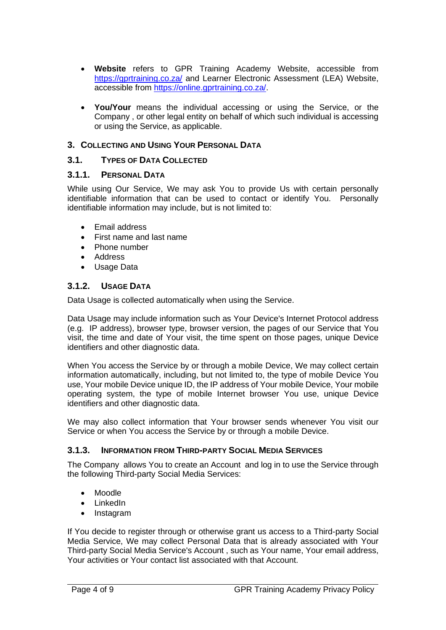- **Website** refers to GPR Training Academy Website, accessible from <https://gprtraining.co.za/> and Learner Electronic Assessment (LEA) Website, accessible from [https://online.gprtraining.co.za/.](https://online.gprtraining.co.za/)
- **You/Your** means the individual accessing or using the Service, or the Company , or other legal entity on behalf of which such individual is accessing or using the Service, as applicable.

## <span id="page-3-0"></span>**3. COLLECTING AND USING YOUR PERSONAL DATA**

## <span id="page-3-1"></span>**3.1. TYPES OF DATA COLLECTED**

## <span id="page-3-2"></span>**3.1.1. PERSONAL DATA**

While using Our Service, We may ask You to provide Us with certain personally identifiable information that can be used to contact or identify You. Personally identifiable information may include, but is not limited to:

- Email address
- First name and last name
- Phone number
- Address
- Usage Data

## <span id="page-3-3"></span>**3.1.2. USAGE DATA**

Data Usage is collected automatically when using the Service.

Data Usage may include information such as Your Device's Internet Protocol address (e.g. IP address), browser type, browser version, the pages of our Service that You visit, the time and date of Your visit, the time spent on those pages, unique Device identifiers and other diagnostic data.

When You access the Service by or through a mobile Device, We may collect certain information automatically, including, but not limited to, the type of mobile Device You use, Your mobile Device unique ID, the IP address of Your mobile Device, Your mobile operating system, the type of mobile Internet browser You use, unique Device identifiers and other diagnostic data.

We may also collect information that Your browser sends whenever You visit our Service or when You access the Service by or through a mobile Device.

## <span id="page-3-4"></span>**3.1.3. INFORMATION FROM THIRD-PARTY SOCIAL MEDIA SERVICES**

The Company allows You to create an Account and log in to use the Service through the following Third-party Social Media Services:

- Moodle
- LinkedIn
- Instagram

If You decide to register through or otherwise grant us access to a Third-party Social Media Service, We may collect Personal Data that is already associated with Your Third-party Social Media Service's Account , such as Your name, Your email address, Your activities or Your contact list associated with that Account.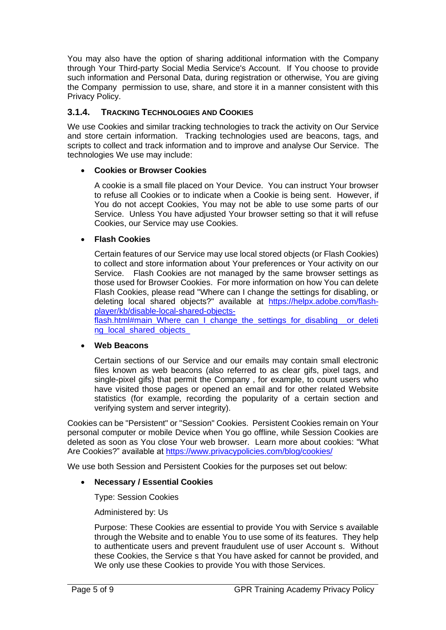You may also have the option of sharing additional information with the Company through Your Third-party Social Media Service's Account. If You choose to provide such information and Personal Data, during registration or otherwise, You are giving the Company permission to use, share, and store it in a manner consistent with this Privacy Policy.

## <span id="page-4-0"></span>**3.1.4. TRACKING TECHNOLOGIES AND COOKIES**

We use Cookies and similar tracking technologies to track the activity on Our Service and store certain information. Tracking technologies used are beacons, tags, and scripts to collect and track information and to improve and analyse Our Service. The technologies We use may include:

#### • **Cookies or Browser Cookies**

A cookie is a small file placed on Your Device. You can instruct Your browser to refuse all Cookies or to indicate when a Cookie is being sent. However, if You do not accept Cookies, You may not be able to use some parts of our Service. Unless You have adjusted Your browser setting so that it will refuse Cookies, our Service may use Cookies.

#### • **Flash Cookies**

Certain features of our Service may use local stored objects (or Flash Cookies) to collect and store information about Your preferences or Your activity on our Service. Flash Cookies are not managed by the same browser settings as those used for Browser Cookies. For more information on how You can delete Flash Cookies, please read "Where can I change the settings for disabling, or deleting local shared objects?" available at [https://helpx.adobe.com/flash](https://helpx.adobe.com/flash-player/kb/disable-local-shared-objects-flash.html#main_Where_can_I_change_the_settings_for_disabling__or_deleting_local_shared_objects_)[player/kb/disable-local-shared-objects-](https://helpx.adobe.com/flash-player/kb/disable-local-shared-objects-flash.html#main_Where_can_I_change_the_settings_for_disabling__or_deleting_local_shared_objects_)

[flash.html#main\\_Where\\_can\\_I\\_change\\_the\\_settings\\_for\\_disabling\\_\\_or\\_deleti](https://helpx.adobe.com/flash-player/kb/disable-local-shared-objects-flash.html#main_Where_can_I_change_the_settings_for_disabling__or_deleting_local_shared_objects_) ng\_local\_shared\_objects

#### • **Web Beacons**

Certain sections of our Service and our emails may contain small electronic files known as web beacons (also referred to as clear gifs, pixel tags, and single-pixel gifs) that permit the Company , for example, to count users who have visited those pages or opened an email and for other related Website statistics (for example, recording the popularity of a certain section and verifying system and server integrity).

Cookies can be "Persistent" or "Session" Cookies. Persistent Cookies remain on Your personal computer or mobile Device when You go offline, while Session Cookies are deleted as soon as You close Your web browser. Learn more about cookies: "What Are Cookies?" available at<https://www.privacypolicies.com/blog/cookies/>

We use both Session and Persistent Cookies for the purposes set out below:

#### • **Necessary / Essential Cookies**

Type: Session Cookies

Administered by: Us

Purpose: These Cookies are essential to provide You with Service s available through the Website and to enable You to use some of its features. They help to authenticate users and prevent fraudulent use of user Account s. Without these Cookies, the Service s that You have asked for cannot be provided, and We only use these Cookies to provide You with those Services.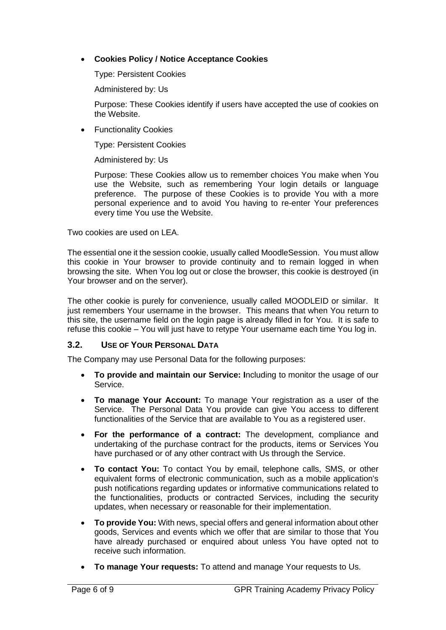## • **Cookies Policy / Notice Acceptance Cookies**

Type: Persistent Cookies

Administered by: Us

Purpose: These Cookies identify if users have accepted the use of cookies on the Website.

• Functionality Cookies

Type: Persistent Cookies

Administered by: Us

Purpose: These Cookies allow us to remember choices You make when You use the Website, such as remembering Your login details or language preference. The purpose of these Cookies is to provide You with a more personal experience and to avoid You having to re-enter Your preferences every time You use the Website.

Two cookies are used on LEA.

The essential one it the session cookie, usually called MoodleSession. You must allow this cookie in Your browser to provide continuity and to remain logged in when browsing the site. When You log out or close the browser, this cookie is destroyed (in Your browser and on the server).

The other cookie is purely for convenience, usually called MOODLEID or similar. It just remembers Your username in the browser. This means that when You return to this site, the username field on the login page is already filled in for You. It is safe to refuse this cookie – You will just have to retype Your username each time You log in.

## <span id="page-5-0"></span>**3.2. USE OF YOUR PERSONAL DATA**

The Company may use Personal Data for the following purposes:

- **To provide and maintain our Service: I**ncluding to monitor the usage of our Service.
- **To manage Your Account:** To manage Your registration as a user of the Service. The Personal Data You provide can give You access to different functionalities of the Service that are available to You as a registered user.
- **For the performance of a contract:** The development, compliance and undertaking of the purchase contract for the products, items or Services You have purchased or of any other contract with Us through the Service.
- **To contact You:** To contact You by email, telephone calls, SMS, or other equivalent forms of electronic communication, such as a mobile application's push notifications regarding updates or informative communications related to the functionalities, products or contracted Services, including the security updates, when necessary or reasonable for their implementation.
- **To provide You:** With news, special offers and general information about other goods, Services and events which we offer that are similar to those that You have already purchased or enquired about unless You have opted not to receive such information.
- **To manage Your requests:** To attend and manage Your requests to Us.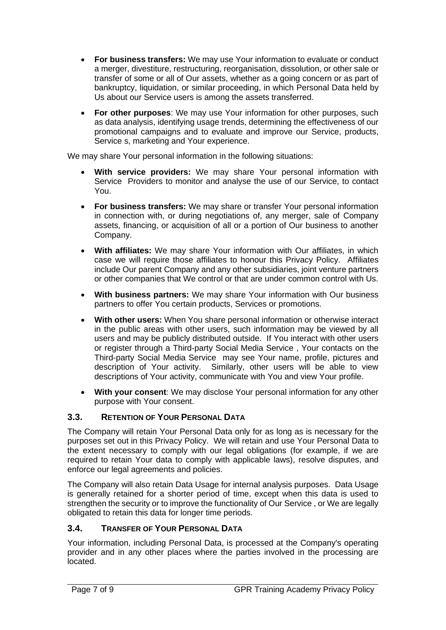- **For business transfers:** We may use Your information to evaluate or conduct a merger, divestiture, restructuring, reorganisation, dissolution, or other sale or transfer of some or all of Our assets, whether as a going concern or as part of bankruptcy, liquidation, or similar proceeding, in which Personal Data held by Us about our Service users is among the assets transferred.
- **For other purposes**: We may use Your information for other purposes, such as data analysis, identifying usage trends, determining the effectiveness of our promotional campaigns and to evaluate and improve our Service, products, Service s, marketing and Your experience.

We may share Your personal information in the following situations:

- **With service providers:** We may share Your personal information with Service Providers to monitor and analyse the use of our Service, to contact You.
- **For business transfers:** We may share or transfer Your personal information in connection with, or during negotiations of, any merger, sale of Company assets, financing, or acquisition of all or a portion of Our business to another Company.
- **With affiliates:** We may share Your information with Our affiliates, in which case we will require those affiliates to honour this Privacy Policy. Affiliates include Our parent Company and any other subsidiaries, joint venture partners or other companies that We control or that are under common control with Us.
- **With business partners:** We may share Your information with Our business partners to offer You certain products, Services or promotions.
- **With other users:** When You share personal information or otherwise interact in the public areas with other users, such information may be viewed by all users and may be publicly distributed outside. If You interact with other users or register through a Third-party Social Media Service , Your contacts on the Third-party Social Media Service may see Your name, profile, pictures and description of Your activity. Similarly, other users will be able to view descriptions of Your activity, communicate with You and view Your profile.
- **With your consent**: We may disclose Your personal information for any other purpose with Your consent.

# <span id="page-6-0"></span>**3.3. RETENTION OF YOUR PERSONAL DATA**

The Company will retain Your Personal Data only for as long as is necessary for the purposes set out in this Privacy Policy. We will retain and use Your Personal Data to the extent necessary to comply with our legal obligations (for example, if we are required to retain Your data to comply with applicable laws), resolve disputes, and enforce our legal agreements and policies.

The Company will also retain Data Usage for internal analysis purposes. Data Usage is generally retained for a shorter period of time, except when this data is used to strengthen the security or to improve the functionality of Our Service , or We are legally obligated to retain this data for longer time periods.

## <span id="page-6-1"></span>**3.4. TRANSFER OF YOUR PERSONAL DATA**

Your information, including Personal Data, is processed at the Company's operating provider and in any other places where the parties involved in the processing are located.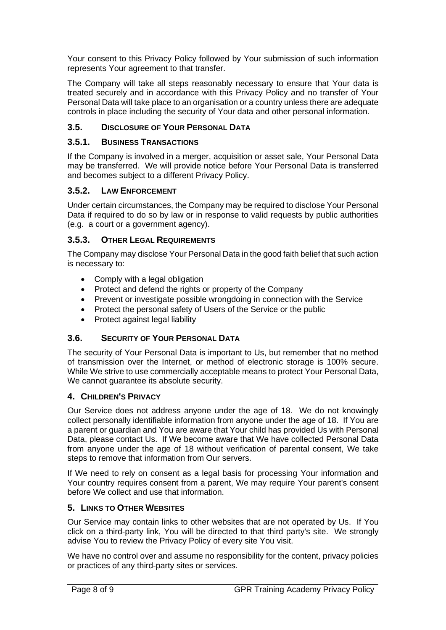Your consent to this Privacy Policy followed by Your submission of such information represents Your agreement to that transfer.

The Company will take all steps reasonably necessary to ensure that Your data is treated securely and in accordance with this Privacy Policy and no transfer of Your Personal Data will take place to an organisation or a country unless there are adequate controls in place including the security of Your data and other personal information.

# <span id="page-7-0"></span>**3.5. DISCLOSURE OF YOUR PERSONAL DATA**

## <span id="page-7-1"></span>**3.5.1. BUSINESS TRANSACTIONS**

If the Company is involved in a merger, acquisition or asset sale, Your Personal Data may be transferred. We will provide notice before Your Personal Data is transferred and becomes subject to a different Privacy Policy.

## <span id="page-7-2"></span>**3.5.2. LAW ENFORCEMENT**

Under certain circumstances, the Company may be required to disclose Your Personal Data if required to do so by law or in response to valid requests by public authorities (e.g. a court or a government agency).

## <span id="page-7-3"></span>**3.5.3. OTHER LEGAL REQUIREMENTS**

The Company may disclose Your Personal Data in the good faith belief that such action is necessary to:

- Comply with a legal obligation
- Protect and defend the rights or property of the Company
- Prevent or investigate possible wrongdoing in connection with the Service
- Protect the personal safety of Users of the Service or the public
- Protect against legal liability

## <span id="page-7-4"></span>**3.6. SECURITY OF YOUR PERSONAL DATA**

The security of Your Personal Data is important to Us, but remember that no method of transmission over the Internet, or method of electronic storage is 100% secure. While We strive to use commercially acceptable means to protect Your Personal Data, We cannot guarantee its absolute security.

## <span id="page-7-5"></span>**4. CHILDREN'S PRIVACY**

Our Service does not address anyone under the age of 18. We do not knowingly collect personally identifiable information from anyone under the age of 18. If You are a parent or guardian and You are aware that Your child has provided Us with Personal Data, please contact Us. If We become aware that We have collected Personal Data from anyone under the age of 18 without verification of parental consent, We take steps to remove that information from Our servers.

If We need to rely on consent as a legal basis for processing Your information and Your country requires consent from a parent, We may require Your parent's consent before We collect and use that information.

## <span id="page-7-6"></span>**5. LINKS TO OTHER WEBSITES**

Our Service may contain links to other websites that are not operated by Us. If You click on a third-party link, You will be directed to that third party's site. We strongly advise You to review the Privacy Policy of every site You visit.

We have no control over and assume no responsibility for the content, privacy policies or practices of any third-party sites or services.